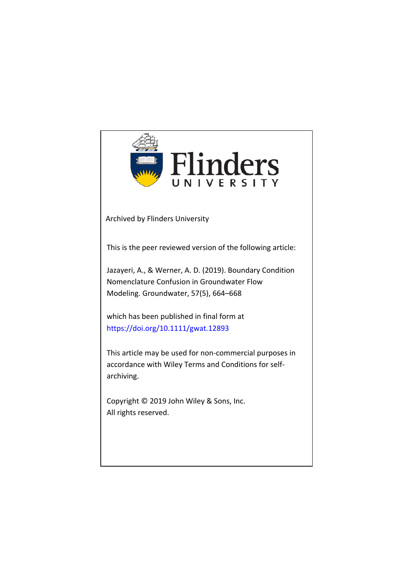

Archived by Flinders University

This is the peer reviewed version of the following article:

Jazayeri, A., & Werner, A. D. (2019). Boundary Condition Nomenclature Confusion in Groundwater Flow Modeling. Groundwater, 57(5), 664–668

which has been published in final form at https://doi.org/[10.1111/gwat.12893](https://ngwa.onlinelibrary.wiley.com/doi/full/10.1111/gwat.12893)

This article may be used for non-commercial purposes in accordance with Wiley Terms and Conditions for selfarchiving.

Copyright © 2019 John Wiley & Sons, Inc. All rights reserved.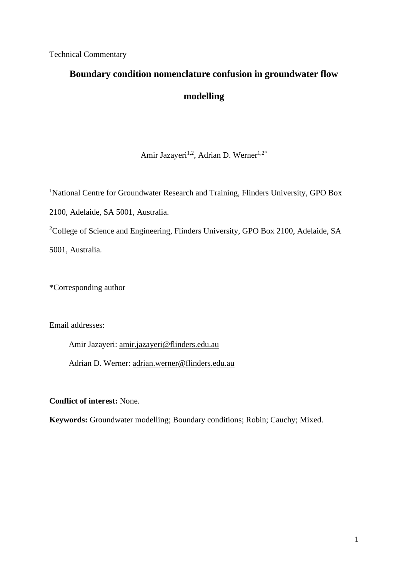Technical Commentary

# **Boundary condition nomenclature confusion in groundwater flow modelling**

## Amir Jazayeri<sup>1,2</sup>, Adrian D. Werner<sup>1,2\*</sup>

<sup>1</sup>National Centre for Groundwater Research and Training, Flinders University, GPO Box 2100, Adelaide, SA 5001, Australia. <sup>2</sup>College of Science and Engineering, Flinders University, GPO Box 2100, Adelaide, SA 5001, Australia.

\*Corresponding author

Email addresses:

Amir Jazayeri: [amir.jazayeri@flinders.edu.au](mailto:amir.jazayeri@flinders.edu.au)

Adrian D. Werner: [adrian.werner@flinders.edu.au](mailto:adrian.werner@flinders.edu.au)

**Conflict of interest:** None.

**Keywords:** Groundwater modelling; Boundary conditions; Robin; Cauchy; Mixed.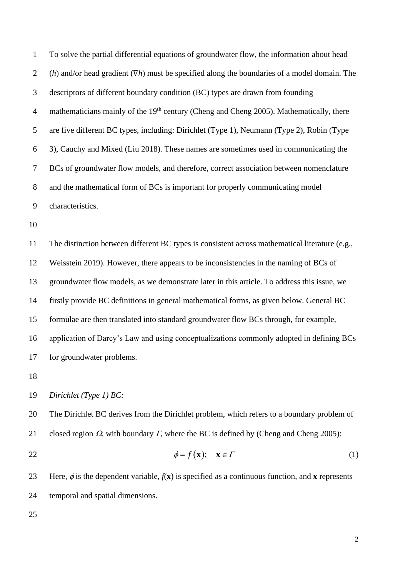To solve the partial differential equations of groundwater flow, the information about head (*h*) and/or head gradient (∇*h*) must be specified along the boundaries of a model domain. The descriptors of different boundary condition (BC) types are drawn from founding 4 mathematicians mainly of the  $19<sup>th</sup>$  century (Cheng and Cheng 2005). Mathematically, there are five different BC types, including: Dirichlet (Type 1), Neumann (Type 2), Robin (Type 3), Cauchy and Mixed (Liu 2018). These names are sometimes used in communicating the BCs of groundwater flow models, and therefore, correct association between nomenclature and the mathematical form of BCs is important for properly communicating model characteristics.

 The distinction between different BC types is consistent across mathematical literature (e.g., Weisstein 2019). However, there appears to be inconsistencies in the naming of BCs of groundwater flow models, as we demonstrate later in this article. To address this issue, we firstly provide BC definitions in general mathematical forms, as given below. General BC formulae are then translated into standard groundwater flow BCs through, for example, application of Darcy's Law and using conceptualizations commonly adopted in defining BCs for groundwater problems.

#### *Dirichlet (Type 1) BC:*

20 The Dirichlet BC derives from the Dirichlet problem, which refers to a boundary problem of 21 closed region  $\Omega$ , with boundary  $\Gamma$ , where the BC is defined by (Cheng and Cheng 2005):

$$
\phi = f(\mathbf{x}); \quad \mathbf{x} \in \Gamma \tag{1}
$$

23 Here,  $\phi$  is the dependent variable,  $f(\mathbf{x})$  is specified as a continuous function, and **x** represents temporal and spatial dimensions.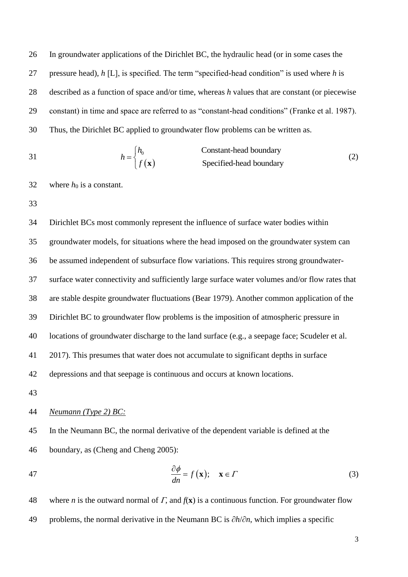In groundwater applications of the Dirichlet BC, the hydraulic head (or in some cases the pressure head), *h* [L], is specified. The term "specified-head condition" is used where *h* is described as a function of space and/or time, whereas *h* values that are constant (or piecewise constant) in time and space are referred to as "constant-head conditions" (Franke et al. 1987). Thus, the Dirichlet BC applied to groundwater flow problems can be written as.

31 
$$
h = \begin{cases} h_0 & \text{Constant-head boundary} \\ f(\mathbf{x}) & \text{Specificed-head boundary} \end{cases}
$$
 (2)

32 where  $h_0$  is a constant.

33

 Dirichlet BCs most commonly represent the influence of surface water bodies within groundwater models, for situations where the head imposed on the groundwater system can be assumed independent of subsurface flow variations. This requires strong groundwater- surface water connectivity and sufficiently large surface water volumes and/or flow rates that are stable despite groundwater fluctuations (Bear 1979). Another common application of the Dirichlet BC to groundwater flow problems is the imposition of atmospheric pressure in locations of groundwater discharge to the land surface (e.g., a seepage face; Scudeler et al. 2017). This presumes that water does not accumulate to significant depths in surface depressions and that seepage is continuous and occurs at known locations.

43

#### 44 *Neumann (Type 2) BC:*

45 In the Neumann BC, the normal derivative of the dependent variable is defined at the 46 boundary, as (Cheng and Cheng 2005):

47 
$$
\frac{\partial \phi}{\partial n} = f(\mathbf{x}); \quad \mathbf{x} \in \Gamma
$$
 (3)

48 where *n* is the outward normal of  $\Gamma$ , and  $f(\mathbf{x})$  is a continuous function. For groundwater flow 49 problems, the normal derivative in the Neumann BC is ∂*h*/∂*n*, which implies a specific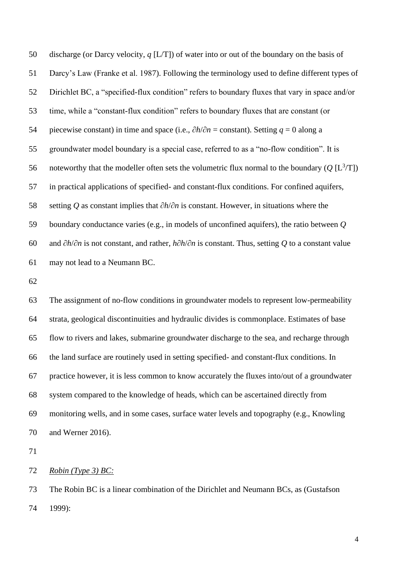discharge (or Darcy velocity, *q* [L/T]) of water into or out of the boundary on the basis of Darcy's Law (Franke et al. 1987). Following the terminology used to define different types of Dirichlet BC, a "specified-flux condition" refers to boundary fluxes that vary in space and/or time, while a "constant-flux condition" refers to boundary fluxes that are constant (or piecewise constant) in time and space (i.e., ∂*h*/∂*n* = constant). Setting *q* = 0 along a groundwater model boundary is a special case, referred to as a "no-flow condition". It is 56 noteworthy that the modeller often sets the volumetric flux normal to the boundary  $(Q [L^3/T])$  in practical applications of specified- and constant-flux conditions. For confined aquifers, setting *Q* as constant implies that ∂*h*/∂*n* is constant. However, in situations where the boundary conductance varies (e.g., in models of unconfined aquifers), the ratio between *Q*  and ∂*h*/∂*n* is not constant, and rather, *h*∂*h*/∂*n* is constant. Thus, setting *Q* to a constant value may not lead to a Neumann BC.

 The assignment of no-flow conditions in groundwater models to represent low-permeability strata, geological discontinuities and hydraulic divides is commonplace. Estimates of base flow to rivers and lakes, submarine groundwater discharge to the sea, and recharge through the land surface are routinely used in setting specified- and constant-flux conditions. In practice however, it is less common to know accurately the fluxes into/out of a groundwater system compared to the knowledge of heads, which can be ascertained directly from monitoring wells, and in some cases, surface water levels and topography (e.g., Knowling and Werner 2016).

*Robin (Type 3) BC:*

 The Robin BC is a linear combination of the Dirichlet and Neumann BCs, as (Gustafson 1999):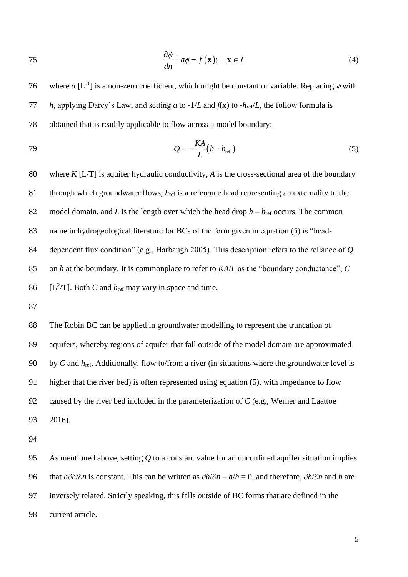75 
$$
\frac{\partial \phi}{\partial n} + a\phi = f(\mathbf{x}); \quad \mathbf{x} \in \Gamma
$$
 (4)

76 where *a* [L<sup>-1</sup>] is a non-zero coefficient, which might be constant or variable. Replacing  $\phi$  with 77 *h*, applying Darcy's Law, and setting *a* to -1/*L* and *f*(**x**) to -*h*ref/*L*, the follow formula is 78 obtained that is readily applicable to flow across a model boundary:

$$
Q = -\frac{KA}{L}(h - h_{\text{ref}})
$$
\n(5)

 where *K* [L/T] is aquifer hydraulic conductivity, *A* is the cross-sectional area of the boundary through which groundwater flows, *h*ref is a reference head representing an externality to the 82 model domain, and *L* is the length over which the head drop  $h - h_{ref}$  occurs. The common name in hydrogeological literature for BCs of the form given in equation (5) is "head- dependent flux condition" (e.g., Harbaugh 2005). This description refers to the reliance of *Q* on *h* at the boundary. It is commonplace to refer to *KA*/*L* as the "boundary conductance", *C* 86 [ $L^2/T$ ]. Both *C* and *h*<sub>ref</sub> may vary in space and time.

87

 The Robin BC can be applied in groundwater modelling to represent the truncation of aquifers, whereby regions of aquifer that fall outside of the model domain are approximated by *C* and *h*ref. Additionally, flow to/from a river (in situations where the groundwater level is higher that the river bed) is often represented using equation (5), with impedance to flow caused by the river bed included in the parameterization of *C* (e.g., Werner and Laattoe 93 2016).

94

 As mentioned above, setting *Q* to a constant value for an unconfined aquifer situation implies that *h*∂*h*/∂*n* is constant. This can be written as ∂*h*/∂*n* – *a*/*h* = 0, and therefore, ∂*h*/∂*n* and *h* are inversely related. Strictly speaking, this falls outside of BC forms that are defined in the current article.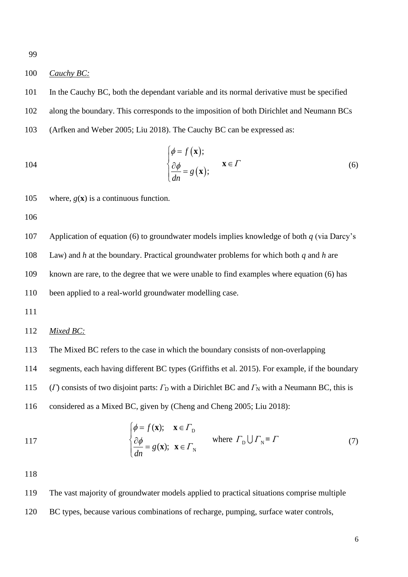#### 100 *Cauchy BC:*

101 In the Cauchy BC, both the dependant variable and its normal derivative must be specified 102 along the boundary. This corresponds to the imposition of both Dirichlet and Neumann BCs 103 (Arfken and Weber 2005; Liu 2018). The Cauchy BC can be expressed as:

104 
$$
\begin{cases} \phi = f(\mathbf{x}); \\ \frac{\partial \phi}{dn} = g(\mathbf{x}); \end{cases} \mathbf{x} \in \Gamma
$$
 (6)

105 where,  $g(\mathbf{x})$  is a continuous function.

106

107 Application of equation (6) to groundwater models implies knowledge of both *q* (via Darcy's

108 Law) and *h* at the boundary. Practical groundwater problems for which both *q* and *h* are

109 known are rare, to the degree that we were unable to find examples where equation (6) has

110 been applied to a real-world groundwater modelling case.

111

#### 112 *Mixed BC:*

113 The Mixed BC refers to the case in which the boundary consists of non-overlapping

114 segments, each having different BC types (Griffiths et al. 2015). For example, if the boundary

115 (*Γ*) consists of two disjoint parts:  $\Gamma_D$  with a Dirichlet BC and  $\Gamma_N$  with a Neumann BC, this is

116 considered as a Mixed BC, given by (Cheng and Cheng 2005; Liu 2018):

117  
\n
$$
\begin{cases}\n\phi = f(\mathbf{x}); & \mathbf{x} \in \Gamma_{\text{D}} \\
\frac{\partial \phi}{\partial n} = g(\mathbf{x}); & \mathbf{x} \in \Gamma_{\text{N}}\n\end{cases}
$$
\nwhere  $\Gamma_{\text{D}} \cup \Gamma_{\text{N}} = \Gamma$  (7)

118

119 The vast majority of groundwater models applied to practical situations comprise multiple 120 BC types, because various combinations of recharge, pumping, surface water controls,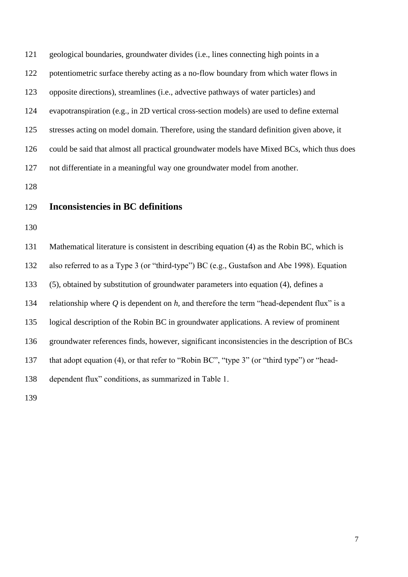geological boundaries, groundwater divides (i.e., lines connecting high points in a potentiometric surface thereby acting as a no-flow boundary from which water flows in opposite directions), streamlines (i.e., advective pathways of water particles) and evapotranspiration (e.g., in 2D vertical cross-section models) are used to define external stresses acting on model domain. Therefore, using the standard definition given above, it could be said that almost all practical groundwater models have Mixed BCs, which thus does not differentiate in a meaningful way one groundwater model from another.

### **Inconsistencies in BC definitions**

 Mathematical literature is consistent in describing equation (4) as the Robin BC, which is also referred to as a Type 3 (or "third-type") BC (e.g., Gustafson and Abe 1998). Equation (5), obtained by substitution of groundwater parameters into equation (4), defines a relationship where *Q* is dependent on *h*, and therefore the term "head-dependent flux" is a logical description of the Robin BC in groundwater applications. A review of prominent groundwater references finds, however, significant inconsistencies in the description of BCs 137 that adopt equation (4), or that refer to "Robin BC", "type 3" (or "third type") or "head-dependent flux" conditions, as summarized in Table 1.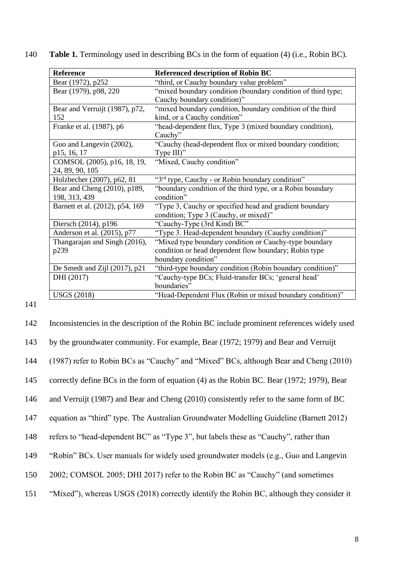| Reference                       | <b>Referenced description of Robin BC</b>                    |
|---------------------------------|--------------------------------------------------------------|
| Bear (1972), p252               | "third, or Cauchy boundary value problem"                    |
| Bear (1979), p98, 220           | "mixed boundary condition (boundary condition of third type; |
|                                 | Cauchy boundary condition)"                                  |
| Bear and Verruijt (1987), p72,  | "mixed boundary condition, boundary condition of the third   |
| 152                             | kind, or a Cauchy condition"                                 |
| Franke et al. (1987), p6        | "head-dependent flux, Type 3 (mixed boundary condition),     |
|                                 | Cauchy"                                                      |
| Guo and Langevin (2002),        | "Cauchy (head-dependent flux or mixed boundary condition;    |
| p15, 16, 17                     | Type III)"                                                   |
| COMSOL (2005), p16, 18, 19,     | "Mixed, Cauchy condition"                                    |
| 24, 89, 90, 105                 |                                                              |
| Holzbecher (2007), p62, 81      | "3rd type, Cauchy - or Robin boundary condition"             |
| Bear and Cheng (2010), p189,    | "boundary condition of the third type, or a Robin boundary   |
| 198, 313, 439                   | condition"                                                   |
| Barnett et al. (2012), p54, 169 | "Type 3, Cauchy or specified head and gradient boundary      |
|                                 | condition; Type 3 (Cauchy, or mixed)"                        |
| Diersch (2014), p196            | "Cauchy-Type (3rd Kind) BC"                                  |
| Anderson et al. (2015), p77     | "Type 3. Head-dependent boundary (Cauchy condition)"         |
| Thangarajan and Singh (2016),   | "Mixed type boundary condition or Cauchy-type boundary       |
| p239                            | condition or head dependent flow boundary; Robin type        |
|                                 | boundary condition"                                          |
| De Smedt and Zijl (2017), p21   | "third-type boundary condition (Robin boundary condition)"   |
| DHI (2017)                      | "Cauchy-type BCs; Fluid-transfer BCs; 'general head'         |
|                                 | boundaries"                                                  |
| <b>USGS</b> (2018)              | "Head-Dependent Flux (Robin or mixed boundary condition)"    |

140 **Table 1.** Terminology used in describing BCs in the form of equation (4) (i.e., Robin BC).

| 142 | Inconsistencies in the description of the Robin BC include prominent references widely used |
|-----|---------------------------------------------------------------------------------------------|
| 143 | by the groundwater community. For example, Bear (1972; 1979) and Bear and Verruijt          |
| 144 | (1987) refer to Robin BCs as "Cauchy" and "Mixed" BCs, although Bear and Cheng (2010)       |
| 145 | correctly define BCs in the form of equation (4) as the Robin BC. Bear (1972; 1979), Bear   |
| 146 | and Verruijt (1987) and Bear and Cheng (2010) consistently refer to the same form of BC     |
| 147 | equation as "third" type. The Australian Groundwater Modelling Guideline (Barnett 2012)     |
| 148 | refers to "head-dependent BC" as "Type 3", but labels these as "Cauchy", rather than        |
| 149 | "Robin" BCs. User manuals for widely used groundwater models (e.g., Guo and Langevin        |
| 150 | 2002; COMSOL 2005; DHI 2017) refer to the Robin BC as "Cauchy" (and sometimes               |
| 151 | "Mixed", whereas USGS (2018) correctly identify the Robin BC, although they consider it     |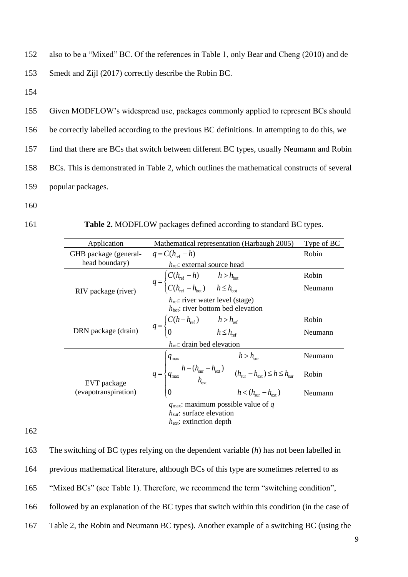152 also to be a "Mixed" BC. Of the references in Table 1, only Bear and Cheng (2010) and de 153 Smedt and Zijl (2017) correctly describe the Robin BC.

154

 Given MODFLOW's widespread use, packages commonly applied to represent BCs should be correctly labelled according to the previous BC definitions. In attempting to do this, we find that there are BCs that switch between different BC types, usually Neumann and Robin BCs. This is demonstrated in Table 2, which outlines the mathematical constructs of several popular packages.

160

161 **Table 2.** MODFLOW packages defined according to standard BC types.

| Application                            | Mathematical representation (Harbaugh 2005)                                                                                                                                                                                     | Type of BC |  |
|----------------------------------------|---------------------------------------------------------------------------------------------------------------------------------------------------------------------------------------------------------------------------------|------------|--|
| GHB package (general-                  | $q = C(h_{ref} - h)$                                                                                                                                                                                                            | Robin      |  |
| head boundary)                         | $h_{\text{ref}}$ : external source head                                                                                                                                                                                         |            |  |
| RIV package (river)                    |                                                                                                                                                                                                                                 | Robin      |  |
|                                        | $q = \begin{cases} C(h_{\text{ref}} - h) & h > h_{\text{bot}} \\ C(h_{\text{ref}} - h_{\text{bot}}) & h \leq h_{\text{bot}} \end{cases}$                                                                                        | Neumann    |  |
|                                        | $h_{\text{ref}}$ : river water level (stage)                                                                                                                                                                                    |            |  |
|                                        | $h_{\text{bot}}$ : river bottom bed elevation                                                                                                                                                                                   |            |  |
| DRN package (drain)                    |                                                                                                                                                                                                                                 | Robin      |  |
|                                        | $q = \begin{cases} C(h - h_{\text{ref}}) & h > h_{\text{ref}} \\ 0 & h \leq h_{\text{ref}} \end{cases}$                                                                                                                         | Neumann    |  |
| $h_{\text{ref}}$ : drain bed elevation |                                                                                                                                                                                                                                 |            |  |
|                                        | $h > h_{\text{sur}}$                                                                                                                                                                                                            | Neumann    |  |
| EVT package<br>(evapotranspiration)    | $q = \begin{cases} q_{\text{max}} & \dots & \text{if } l_{\text{sur}} \\ q_{\text{max}} & h_{\text{cur}} \end{cases}$ $(h_{\text{sur}} - h_{\text{ext}}) \le h \le h_{\text{sur}}$<br>0 $h < (h_{\text{sur}} - h_{\text{ext}})$ | Robin      |  |
|                                        |                                                                                                                                                                                                                                 | Neumann    |  |
|                                        | $q_{\text{max}}$ : maximum possible value of q<br>$h_{\text{sur}}$ : surface elevation                                                                                                                                          |            |  |
|                                        | $h_{\text{ext}}$ : extinction depth                                                                                                                                                                                             |            |  |

162

 The switching of BC types relying on the dependent variable (*h*) has not been labelled in previous mathematical literature, although BCs of this type are sometimes referred to as "Mixed BCs" (see Table 1). Therefore, we recommend the term "switching condition", followed by an explanation of the BC types that switch within this condition (in the case of Table 2, the Robin and Neumann BC types). Another example of a switching BC (using the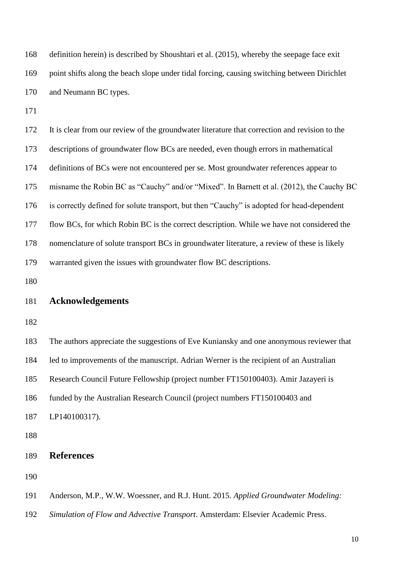| 168 | definition herein) is described by Shoushtari et al. (2015), whereby the seepage face exit    |
|-----|-----------------------------------------------------------------------------------------------|
| 169 | point shifts along the beach slope under tidal forcing, causing switching between Dirichlet   |
| 170 | and Neumann BC types.                                                                         |
| 171 |                                                                                               |
| 172 | It is clear from our review of the groundwater literature that correction and revision to the |
| 173 | descriptions of groundwater flow BCs are needed, even though errors in mathematical           |
| 174 | definitions of BCs were not encountered per se. Most groundwater references appear to         |
| 175 | misname the Robin BC as "Cauchy" and/or "Mixed". In Barnett et al. (2012), the Cauchy BC      |
| 176 | is correctly defined for solute transport, but then "Cauchy" is adopted for head-dependent    |
| 177 | flow BCs, for which Robin BC is the correct description. While we have not considered the     |
| 178 | nomenclature of solute transport BCs in groundwater literature, a review of these is likely   |
| 179 | warranted given the issues with groundwater flow BC descriptions.                             |
| 180 |                                                                                               |
| 181 | <b>Acknowledgements</b>                                                                       |
| 182 |                                                                                               |
| 183 | The authors appreciate the suggestions of Eve Kuniansky and one anonymous reviewer that       |
| 184 | led to improvements of the manuscript. Adrian Werner is the recipient of an Australian        |
| 185 | Research Council Future Fellowship (project number FT150100403). Amir Jazayeri is             |
| 186 | funded by the Australian Research Council (project numbers FT150100403 and                    |
| 187 | LP140100317).                                                                                 |
| 188 |                                                                                               |
| 189 | <b>References</b>                                                                             |
| 190 |                                                                                               |
| 191 | Anderson, M.P., W.W. Woessner, and R.J. Hunt. 2015. Applied Groundwater Modeling:             |
| 192 | Simulation of Flow and Advective Transport. Amsterdam: Elsevier Academic Press.               |
|     |                                                                                               |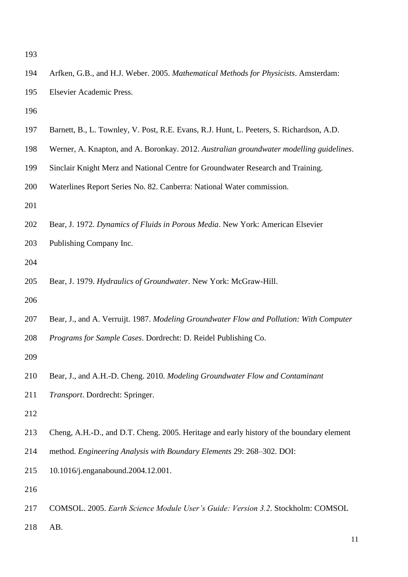- Arfken, G.B., and H.J. Weber. 2005. *Mathematical Methods for Physicists*. Amsterdam: Elsevier Academic Press.
- 
- Barnett, B., L. Townley, V. Post, R.E. Evans, R.J. Hunt, L. Peeters, S. Richardson, A.D.
- Werner, A. Knapton, and A. Boronkay. 2012. *Australian groundwater modelling guidelines*.
- Sinclair Knight Merz and National Centre for Groundwater Research and Training.
- Waterlines Report Series No. 82. Canberra: National Water commission.
- 
- Bear, J. 1972. *Dynamics of Fluids in Porous Media*. New York: American Elsevier
- Publishing Company Inc.
- 
- Bear, J. 1979. *Hydraulics of Groundwater*. New York: McGraw-Hill.
- 
- Bear, J., and A. Verruijt. 1987. *Modeling Groundwater Flow and Pollution: With Computer*
- *Programs for Sample Cases*. Dordrecht: D. Reidel Publishing Co.
- 
- Bear, J., and A.H.-D. Cheng. 2010. *Modeling Groundwater Flow and Contaminant*
- *Transport*. Dordrecht: Springer.
- 
- Cheng, A.H.-D., and D.T. Cheng. 2005. Heritage and early history of the boundary element
- method. *Engineering Analysis with Boundary Elements* 29: 268–302. DOI:
- 10.1016/j.enganabound.2004.12.001.
- 
- COMSOL. 2005. *Earth Science Module User's Guide: Version 3.2*. Stockholm: COMSOL
- AB.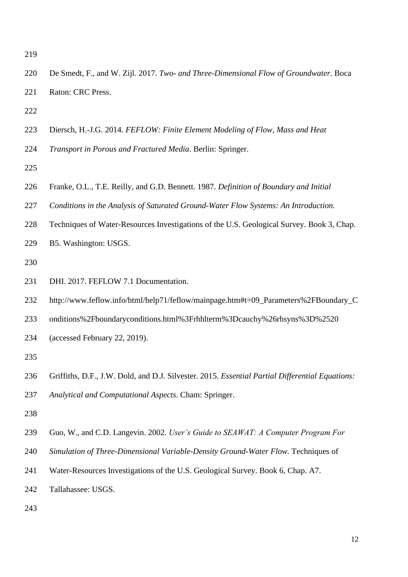- De Smedt, F., and W. Zijl. 2017. *Two- and Three-Dimensional Flow of Groundwater*. Boca Raton: CRC Press.
- 
- Diersch, H.-J.G. 2014. *FEFLOW: Finite Element Modeling of Flow, Mass and Heat*
- *Transport in Porous and Fractured Media*. Berlin: Springer.
- 
- Franke, O.L., T.E. Reilly, and G.D. Bennett. 1987. *Definition of Boundary and Initial*
- *Conditions in the Analysis of Saturated Ground-Water Flow Systems: An Introduction.*
- Techniques of Water-Resources Investigations of the U.S. Geological Survey. Book 3, Chap.
- B5. Washington: USGS.
- 
- DHI. 2017. FEFLOW 7.1 Documentation.
- 232 http://www.feflow.info/html/help71/feflow/mainpage.htm#t=09 Parameters%2FBoundary C
- onditions%2Fboundaryconditions.html%3Frhhlterm%3Dcauchy%26rhsyns%3D%2520
- (accessed February 22, 2019).
- 
- Griffiths, D.F., J.W. Dold, and D.J. Silvester. 2015. *Essential Partial Differential Equations:*
- *Analytical and Computational Aspects*. Cham: Springer.
- 
- Guo, W., and C.D. Langevin. 2002. *User's Guide to SEAWAT: A Computer Program For*
- *Simulation of Three-Dimensional Variable-Density Ground-Water Flow.* Techniques of
- Water-Resources Investigations of the U.S. Geological Survey. Book 6, Chap. A7.
- Tallahassee: USGS.
-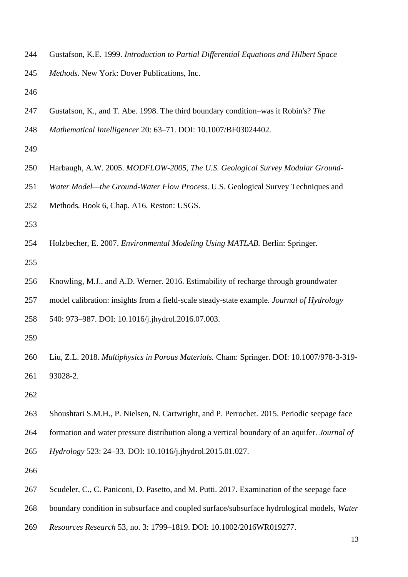Gustafson, K.E. 1999. *Introduction to Partial Differential Equations and Hilbert Space Methods*. New York: Dover Publications, Inc.

- Gustafson, K., and T. Abe. 1998. The third boundary condition–was it Robin's? *The*
- *Mathematical Intelligencer* 20: 63–71. DOI: 10.1007/BF03024402.
- 
- Harbaugh, A.W. 2005. *MODFLOW-2005, The U.S. Geological Survey Modular Ground-*
- *Water Model—the Ground-Water Flow Process*. U.S. Geological Survey Techniques and
- Methods*.* Book 6, Chap. A16*.* Reston: USGS.
- 
- Holzbecher, E. 2007. *Environmental Modeling Using MATLAB.* Berlin: Springer.
- 
- Knowling, M.J., and A.D. Werner. 2016. Estimability of recharge through groundwater
- model calibration: insights from a field-scale steady-state example. *Journal of Hydrology*
- 540: 973–987. DOI: 10.1016/j.jhydrol.2016.07.003.
- 
- Liu, Z.L. 2018. *Multiphysics in Porous Materials.* Cham: Springer. DOI: 10.1007/978-3-319- 93028-2.
- 
- Shoushtari S.M.H., P. Nielsen, N. Cartwright, and P. Perrochet. 2015. Periodic seepage face formation and water pressure distribution along a vertical boundary of an aquifer. *Journal of Hydrology* 523: 24–33. DOI: 10.1016/j.jhydrol.2015.01.027.
- 
- Scudeler, C., C. Paniconi, D. Pasetto, and M. Putti. 2017. Examination of the seepage face
- boundary condition in subsurface and coupled surface/subsurface hydrological models, *Water*
- *Resources Research* 53, no. 3: 1799–1819. DOI: 10.1002/2016WR019277.